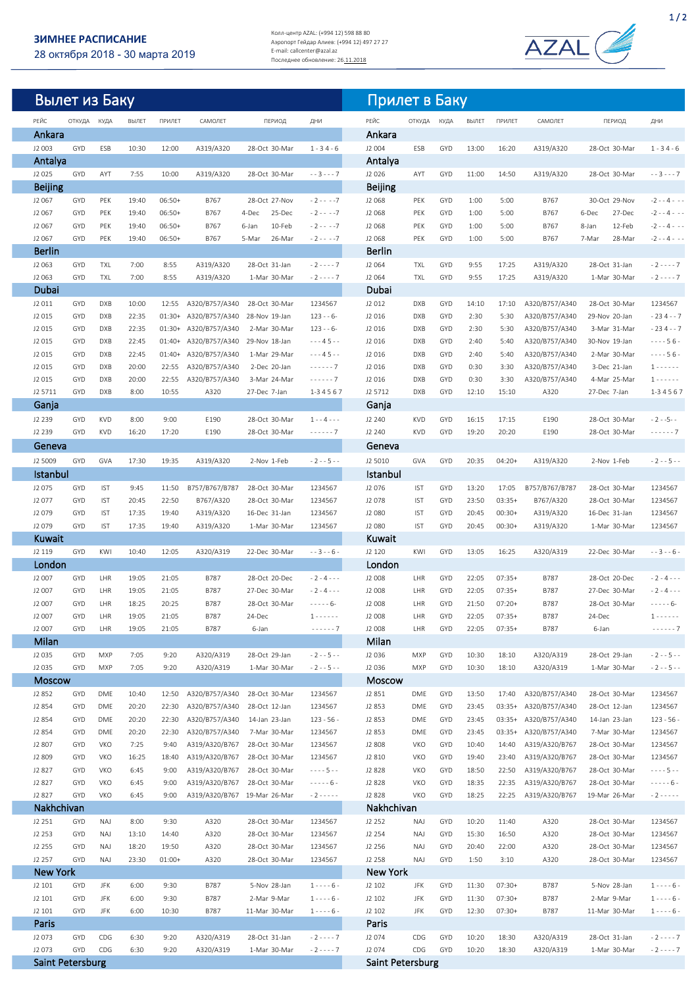## **ЗИМНЕЕ РАСПИСАНИЕ**

28 октября 2018 - 30 марта 2019

Колл-центр AZAL: (+994 12) 598 88 80 Аэропорт Гейдар Алиев: (+994 12) 497 27 27 E-mail: callcenter@azal.az<br>Последнее обновление: 26<u>.11.2018</u>



| Вылет из Баку           |             |                          |                |                      |                                                |                                  |                                | Прилет в Баку             |                          |                          |                |                      |                                  |                                  |                                  |
|-------------------------|-------------|--------------------------|----------------|----------------------|------------------------------------------------|----------------------------------|--------------------------------|---------------------------|--------------------------|--------------------------|----------------|----------------------|----------------------------------|----------------------------------|----------------------------------|
| РЕЙС                    | ОТКУДА КУДА |                          | ВЫЛЕТ          | ПРИЛЕТ               | САМОЛЕТ                                        | ПЕРИОД                           | ДНИ                            | РЕЙС                      | ОТКУДА КУДА              |                          | ВЫЛЕТ          | ПРИЛЕТ               | САМОЛЕТ                          | ПЕРИОД                           | ДНИ                              |
| Ankara                  |             |                          |                |                      |                                                |                                  |                                | Ankara                    |                          |                          |                |                      |                                  |                                  |                                  |
| J2 003<br>Antalya       | GYD         | ESB                      | 10:30          | 12:00                | A319/A320                                      | 28-Oct 30-Mar                    | $1 - 34 - 6$                   | J2 004<br>Antalya         | ESB                      | GYD                      | 13:00          | 16:20                | A319/A320                        | 28-Oct 30-Mar                    | $1 - 34 - 6$                     |
| J2 025                  | GYD         | AYT                      | 7:55           | 10:00                | A319/A320                                      | 28-Oct 30-Mar                    | $- - 3 - - - 7$                | J2 026                    | AYT                      | <b>GYD</b>               | 11:00          | 14:50                | A319/A320                        | 28-Oct 30-Mar                    | $- - 3 - - - 7$                  |
| <b>Beijing</b>          |             |                          |                |                      |                                                |                                  |                                | <b>Beijing</b>            |                          |                          |                |                      |                                  |                                  |                                  |
| J2 067<br>J2 067        | GYD<br>GYD  | <b>PEK</b><br>PEK        | 19:40          | 06:50+<br>$06:50+$   | B767<br>B767                                   | 28-Oct 27-Nov<br>25-Dec<br>4-Dec | $-2 - - -7$                    | J2 068<br>J2 068          | PEK<br>PEK               | <b>GYD</b><br>GYD        | 1:00<br>1:00   | 5:00<br>5:00         | B767<br>B767                     | 30-Oct 29-Nov<br>6-Dec<br>27-Dec | $-2 - - 4 - -$                   |
| J2 067                  | GYD         | PEK                      | 19:40<br>19:40 | $06:50+$             | B767                                           | 10-Feb<br>6-Jan                  | $-2 - - -7$<br>$-2 - - -7$     | J2 068                    | PEK                      | GYD                      | 1:00           | 5:00                 | B767                             | 8-Jan<br>12-Feb                  | -2 - - 4 - - -<br>-2 - - 4 - - - |
| J2 067                  | GYD         | PEK                      | 19:40          | $06:50+$             | B767                                           | 5-Mar<br>26-Mar                  | $-2 - - -7$                    | J2 068                    | PEK                      | GYD                      | 1:00           | 5:00                 | B767                             | 7-Mar<br>28-Mar                  | -2 - - 4 - - -                   |
| <b>Berlin</b>           |             |                          |                |                      |                                                |                                  |                                | <b>Berlin</b>             |                          |                          |                |                      |                                  |                                  |                                  |
| J2 063                  | GYD         | <b>TXL</b>               | 7:00           | 8:55                 | A319/A320                                      | 28-Oct 31-Jan                    | $-2 - - - 7$                   | J2 064                    | <b>TXL</b><br><b>TXL</b> | GYD                      | 9:55           | 17:25                | A319/A320                        | 28-Oct 31-Jan                    | $-2 - - - - 7$                   |
| J2 063<br>Dubai         | GYD         | <b>TXL</b>               | 7:00           | 8:55                 | A319/A320                                      | 1-Mar 30-Mar                     | $-2 - - - 7$                   | J2 064<br>Dubai           |                          | GYD                      | 9:55           | 17:25                | A319/A320                        | 1-Mar 30-Mar                     | $-2 - - - - 7$                   |
| J2 011                  | GYD         | <b>DXB</b>               | 10:00          | 12:55                | A320/B757/A340                                 | 28-Oct 30-Mar                    | 1234567                        | J2 012                    | <b>DXB</b>               | GYD                      | 14:10          | 17:10                | A320/B757/A340                   | 28-Oct 30-Mar                    | 1234567                          |
| J2 015                  | GYD         | <b>DXB</b>               | 22:35          | $01:30+$             | A320/B757/A340                                 | 28-Nov 19-Jan                    | $123 - 6$                      | J2 016                    | <b>DXB</b>               | GYD                      | 2:30           | 5:30                 | A320/B757/A340                   | 29-Nov 20-Jan                    | $-234 - 7$                       |
| J2 015                  | GYD         | <b>DXB</b>               | 22:35          | $01:30+$             | A320/B757/A340                                 | 2-Mar 30-Mar                     | $123 - 6$                      | J2 016                    | <b>DXB</b>               | GYD                      | 2:30           | 5:30                 | A320/B757/A340                   | 3-Mar 31-Mar                     | $-234 - 7$                       |
| J2 015<br>J2 015        | GYD<br>GYD  | <b>DXB</b><br><b>DXB</b> | 22:45<br>22:45 | $01:40+$<br>$01:40+$ | A320/B757/A340<br>A320/B757/A340               | 29-Nov 18-Jan<br>1-Mar 29-Mar    | ---45--<br>---45--             | J2 016<br>J2 016          | <b>DXB</b><br><b>DXB</b> | GYD<br>GYD               | 2:40<br>2:40   | 5:40<br>5:40         | A320/B757/A340<br>A320/B757/A340 | 30-Nov 19-Jan<br>2-Mar 30-Mar    | $--- 56 -$<br>$--- 56 -$         |
| J2 015                  | GYD         | <b>DXB</b>               | 20:00          | 22:55                | A320/B757/A340                                 | 2-Dec 20-Jan                     | ------ 7                       | J2 016                    | <b>DXB</b>               | GYD                      | 0:30           | 3:30                 | A320/B757/A340                   | 3-Dec 21-Jan                     | $1 - - - - - -$                  |
| J2 015                  | GYD         | <b>DXB</b>               | 20:00          | 22:55                | A320/B757/A340                                 | 3-Mar 24-Mar                     | $--- 7$                        | J2 016                    | <b>DXB</b>               | GYD                      | 0:30           | 3:30                 | A320/B757/A340                   | 4-Mar 25-Mar                     | $1 - - - - - -$                  |
| J2 5711                 | GYD         | <b>DXB</b>               | 8:00           | 10:55                | A320                                           | 27-Dec 7-Jan                     | 1-34567                        | J2 5712                   | <b>DXB</b>               | GYD                      | 12:10          | 15:10                | A320                             | 27-Dec 7-Jan                     | 1-34567                          |
| Ganja                   |             |                          |                |                      |                                                |                                  |                                | Ganja                     |                          |                          |                |                      |                                  |                                  |                                  |
| J2 239<br>J2 239        | GYD<br>GYD  | <b>KVD</b><br><b>KVD</b> | 8:00<br>16:20  | 9:00<br>17:20        | E190<br>E190                                   | 28-Oct 30-Mar<br>28-Oct 30-Mar   | $1 - - 4 - - -$<br>$--- 7$     | J2 240<br>J2 240          | <b>KVD</b><br><b>KVD</b> | GYD<br>GYD               | 16:15<br>19:20 | 17:15<br>20:20       | E190<br>E190                     | 28-Oct 30-Mar<br>28-Oct 30-Mar   | $-2 - -5 - -$<br>$--- 7$         |
| Geneva                  |             |                          |                |                      |                                                |                                  |                                | Geneva                    |                          |                          |                |                      |                                  |                                  |                                  |
| J2 5009                 | GYD         | GVA                      | 17:30          | 19:35                | A319/A320                                      | 2-Nov 1-Feb                      | $-2 - -5 - -$                  | J2 5010                   | GVA                      | GYD                      | 20:35          | $04:20+$             | A319/A320                        | 2-Nov 1-Feb                      | $-2 - -5 - -$                    |
| Istanbul                |             |                          |                |                      |                                                |                                  |                                | Istanbul                  |                          |                          |                |                      |                                  |                                  |                                  |
| J2 075                  | GYD         | <b>IST</b>               | 9:45           | 11:50                | B757/B767/B787                                 | 28-Oct 30-Mar                    | 1234567                        | J2 076                    | <b>IST</b>               | GYD                      | 13:20          | 17:05                | B757/B767/B787                   | 28-Oct 30-Mar                    | 1234567                          |
| J2 077                  | GYD         | <b>IST</b>               | 20:45          | 22:50                | B767/A320                                      | 28-Oct 30-Mar                    | 1234567                        | J2078                     | <b>IST</b>               | GYD                      | 23:50          | $03:35+$             | B767/A320                        | 28-Oct 30-Mar                    | 1234567                          |
| J2 079<br>J2 079        | GYD<br>GYD  | <b>IST</b><br><b>IST</b> | 17:35<br>17:35 | 19:40<br>19:40       | A319/A320<br>A319/A320                         | 16-Dec 31-Jan<br>1-Mar 30-Mar    | 1234567<br>1234567             | J2 080<br>J2 080          | <b>IST</b><br><b>IST</b> | GYD<br>GYD               | 20:45<br>20:45 | $00:30+$<br>$00:30+$ | A319/A320<br>A319/A320           | 16-Dec 31-Jan<br>1-Mar 30-Mar    | 1234567<br>1234567               |
| Kuwait                  |             |                          |                |                      |                                                |                                  |                                | Kuwait                    |                          |                          |                |                      |                                  |                                  |                                  |
| J2 119                  | GYD         | <b>KWI</b>               | 10:40          | 12:05                | A320/A319                                      | 22-Dec 30-Mar                    | $- - 3 - - 6 -$                | J2 120                    | <b>KWI</b>               | <b>GYD</b>               | 13:05          | 16:25                | A320/A319                        | 22-Dec 30-Mar                    | $- - 3 - - 6$                    |
| London                  |             |                          |                |                      |                                                |                                  |                                | London                    |                          |                          |                |                      |                                  |                                  |                                  |
| J2 007<br>J2 007        | GYD<br>GYD  | LHR<br>LHR               | 19:05<br>19:05 | 21:05<br>21:05       | B787<br>B787                                   | 28-Oct 20-Dec<br>27-Dec 30-Mar   | $-2 - 4 - - -$                 | J2 008<br>J2 008          | LHR<br>LHR               | GYD<br>GYD               | 22:05<br>22:05 | $07:35+$<br>$07:35+$ | B787<br><b>B787</b>              | 28-Oct 20-Dec<br>27-Dec 30-Mar   | $-2 - 4 - -$<br>$-2 - 4 - -$     |
| J2 007                  | GYD         | LHR                      | 18:25          | 20:25                | B787                                           | 28-Oct 30-Mar                    | $-2 - 4 - - -$<br>----- 6-     | J2 008                    | LHR                      | GYD                      | 21:50          | $07:20+$             | <b>B787</b>                      | 28-Oct 30-Mar                    | ----- 6-                         |
| J2 007                  | GYD         | LHR                      | 19:05          | 21:05                | B787                                           | 24-Dec                           | $1 - - - - - -$                | J2 008                    | LHR                      | GYD                      | 22:05          | $07:35+$             | B787                             | 24-Dec                           | $1 - - - - - -$                  |
| J2 007                  | GYD         | LHR                      | 19:05          | 21:05                | B787                                           | 6-Jan                            | $---7$                         | J2 008                    | LHR                      | GYD                      | 22:05          | $07:35+$             | <b>B787</b>                      | 6-Jan                            | ------ 7                         |
| Milan                   |             |                          |                |                      |                                                |                                  |                                | Milan                     |                          |                          |                |                      |                                  |                                  |                                  |
| J2 035<br>J2 035        | GYD<br>GYD  | MXP<br><b>MXP</b>        | 7:05<br>7:05   | 9:20<br>9:20         | A320/A319<br>A320/A319                         | 28-Oct 29-Jan<br>1-Mar 30-Mar    | $-2 - -5 - -$<br>$-2 - -5 - -$ | J2 036<br>J2 036          | <b>MXP</b><br><b>MXP</b> | <b>GYD</b><br><b>GYD</b> | 10:30<br>10:30 | 18:10<br>18:10       | A320/A319<br>A320/A319           | 28-Oct 29-Jan<br>1-Mar 30-Mar    | $-2 - -5 - -$<br>$-2 - -5 - -$   |
| <b>Moscow</b>           |             |                          |                |                      |                                                |                                  |                                | <b>Moscow</b>             |                          |                          |                |                      |                                  |                                  |                                  |
| J2 852                  | GYD         | DME                      | 10:40          | 12:50                | A320/B757/A340                                 | 28-Oct 30-Mar                    | 1234567                        | J2 851                    | DME                      | GYD                      | 13:50          | 17:40                | A320/B757/A340                   | 28-Oct 30-Mar                    | 1234567                          |
| J2 854                  | GYD         | DME                      | 20:20          | 22:30                | A320/B757/A340                                 | 28-Oct 12-Jan                    | 1234567                        | J2 853                    | DME                      | <b>GYD</b>               | 23:45          | $03:35+$             | A320/B757/A340                   | 28-Oct 12-Jan                    | 1234567                          |
| J2 854<br>J2 854        | GYD<br>GYD  | DME<br>DME               | 20:20<br>20:20 | 22:30<br>22:30       | A320/B757/A340<br>A320/B757/A340               | 14-Jan 23-Jan<br>7-Mar 30-Mar    | 123 - 56 -<br>1234567          | J2 853<br>J2 853          | DME<br>DME               | <b>GYD</b><br><b>GYD</b> | 23:45<br>23:45 | $03:35+$<br>$03:35+$ | A320/B757/A340<br>A320/B757/A340 | 14-Jan 23-Jan<br>7-Mar 30-Mar    | $123 - 56$<br>1234567            |
| J2 807                  | GYD         | VKO                      | 7:25           | 9:40                 | A319/A320/B767                                 | 28-Oct 30-Mar                    | 1234567                        | J2 808                    | <b>VKO</b>               | GYD                      | 10:40          | 14:40                | A319/A320/B767                   | 28-Oct 30-Mar                    | 1234567                          |
| J2 809                  | GYD         | VKO                      | 16:25          | 18:40                | A319/A320/B767                                 | 28-Oct 30-Mar                    | 1234567                        | J2 810                    | <b>VKO</b>               | GYD                      | 19:40          | 23:40                | A319/A320/B767                   | 28-Oct 30-Mar                    | 1234567                          |
| J2 827                  | GYD         | <b>VKO</b>               | 6:45           | 9:00                 | A319/A320/B767                                 | 28-Oct 30-Mar                    | $-- 5 --$                      | J2 828                    | <b>VKO</b>               | GYD                      | 18:50          | 22:50                | A319/A320/B767                   | 28-Oct 30-Mar                    | $--- 5 ---$                      |
| J2 827<br>J2 827        | GYD<br>GYD  | VKO<br>VKO               | 6:45<br>6:45   | 9:00<br>9:00         | A319/A320/B767<br>A319/A320/B767 19-Mar 26-Mar | 28-Oct 30-Mar                    | ------6-<br>$-2 - - - - -$     | J2 828<br>J2 828          | <b>VKO</b><br>VKO        | GYD<br>GYD               | 18:35<br>18:25 | 22:35<br>22:25       | A319/A320/B767<br>A319/A320/B767 | 28-Oct 30-Mar<br>19-Mar 26-Mar   | $--- 6 -$<br>$-2 - - - -$        |
| Nakhchivan              |             |                          |                |                      |                                                |                                  |                                | Nakhchivan                |                          |                          |                |                      |                                  |                                  |                                  |
| J2 251                  | GYD         | <b>NAJ</b>               | 8:00           | 9:30                 | A320                                           | 28-Oct 30-Mar                    | 1234567                        | J2 252                    | NAJ                      | <b>GYD</b>               | 10:20          | 11:40                | A320                             | 28-Oct 30-Mar                    | 1234567                          |
| J2 253                  | GYD         | NAJ                      | 13:10          | 14:40                | A320                                           | 28-Oct 30-Mar                    | 1234567                        | J2 254                    | NAJ                      | GYD                      | 15:30          | 16:50                | A320                             | 28-Oct 30-Mar                    | 1234567                          |
| J2 255                  | GYD         | <b>NAJ</b>               | 18:20          | 19:50                | A320                                           | 28-Oct 30-Mar                    | 1234567                        | J2 256                    | <b>NAJ</b>               | GYD                      | 20:40          | 22:00                | A320                             | 28-Oct 30-Mar                    | 1234567                          |
| J2 257<br>New York      | GYD         | <b>NAJ</b>               | 23:30          | $01:00+$             | A320                                           | 28-Oct 30-Mar                    | 1234567                        | J2 258<br><b>New York</b> | NAJ                      | GYD                      | 1:50           | 3:10                 | A320                             | 28-Oct 30-Mar                    | 1234567                          |
| J2 101                  | GYD         | JFK                      | 6:00           | 9:30                 | B787                                           | 5-Nov 28-Jan                     | $1 - - - 6 -$                  | J2 102                    | JFK                      | GYD                      | 11:30          | $07:30+$             | <b>B787</b>                      | 5-Nov 28-Jan                     | $1 - - - 6 -$                    |
| J2 101                  | GYD         | JFK                      | 6:00           | 9:30                 | B787                                           | 2-Mar 9-Mar                      | $1 - - - 6 -$                  | J2 102                    | JFK                      | GYD                      | 11:30          | $07:30+$             | B787                             | 2-Mar 9-Mar                      | $1 - - - 6 -$                    |
| J2 101                  | GYD         | <b>JFK</b>               | 6:00           | 10:30                | B787                                           | 11-Mar 30-Mar                    | $1 - - - 6 -$                  | J2 102                    | JFK                      | GYD                      | 12:30          | $07:30+$             | B787                             | 11-Mar 30-Mar                    | $1 - - - 6 -$                    |
| Paris                   |             |                          |                |                      |                                                |                                  |                                | Paris                     |                          |                          |                |                      |                                  |                                  |                                  |
| J2 073<br>J2 073        | GYD<br>GYD  | CDG<br>CDG               | 6:30<br>6:30   | 9:20<br>9:20         | A320/A319<br>A320/A319                         | 28-Oct 31-Jan<br>1-Mar 30-Mar    | $-2 - - - 7$<br>$-2 - - - 7$   | J2 074<br>J2 074          | CDG<br>CDG               | <b>GYD</b><br><b>GYD</b> | 10:20<br>10:20 | 18:30<br>18:30       | A320/A319<br>A320/A319           | 28-Oct 31-Jan<br>1-Mar 30-Mar    | $-2 - - - - 7$<br>$-2 - - - 7$   |
| <b>Saint Petersburg</b> |             |                          |                |                      |                                                |                                  |                                | Saint Petersburg          |                          |                          |                |                      |                                  |                                  |                                  |